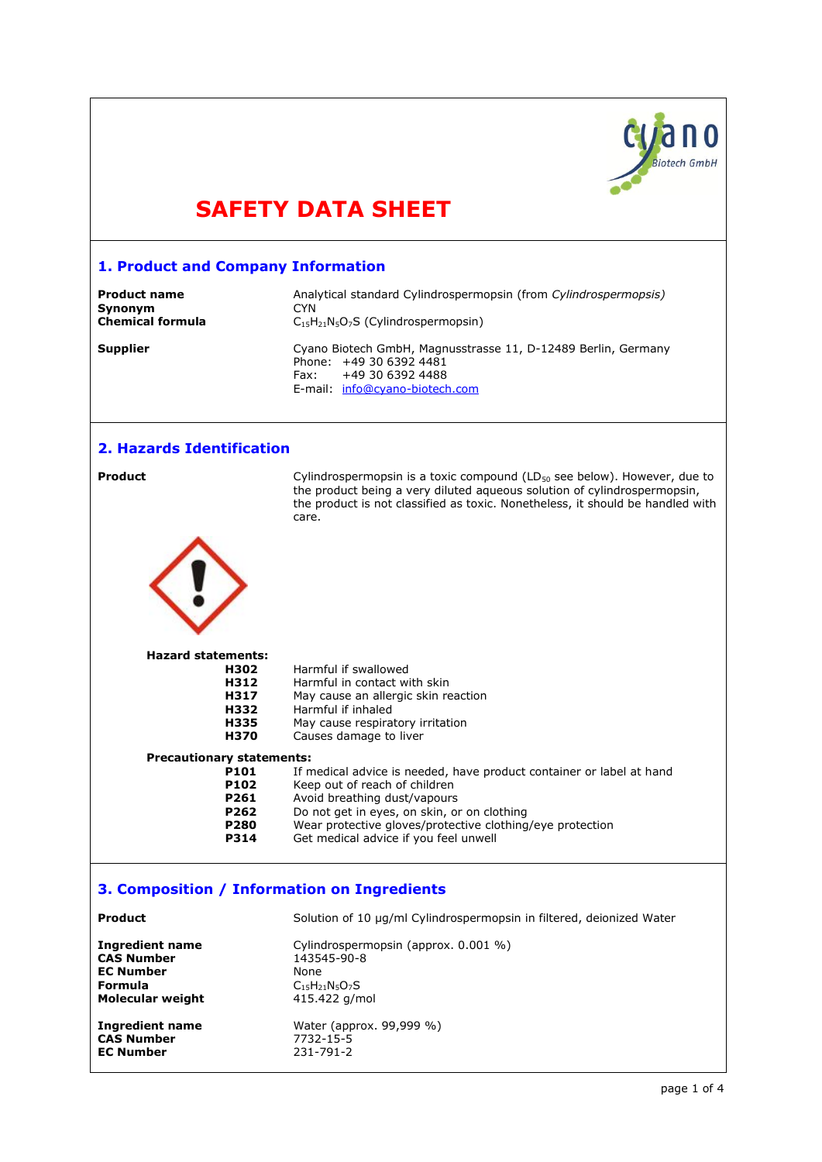

# **SAFETY DATA SHEET**

# **1. Product and Company Information**

| <b>Product name</b>     | Analytical standard Cylindrospermopsin (from Cylindrospermopsis)                                                                                       |
|-------------------------|--------------------------------------------------------------------------------------------------------------------------------------------------------|
| <b>Synonym</b>          | CYN.                                                                                                                                                   |
| <b>Chemical formula</b> | $C_{15}H_{21}N_5O_7S$ (Cylindrospermopsin)                                                                                                             |
| <b>Supplier</b>         | Cyano Biotech GmbH, Magnusstrasse 11, D-12489 Berlin, Germany<br>Phone: +49 30 6392 4481<br>+49 30 6392 4488<br>Fax:<br>E-mail: info@cyano-biotech.com |

# **2. Hazards Identification**

**Product** external Cylindrospermopsin is a toxic compound (LD<sub>50</sub> see below). However, due to the product being a very diluted aqueous solution of cylindrospermopsin, the product is not classified as toxic. Nonetheless, it should be handled with care.

### **Hazard statements:**

| H302                             | Harmful if swallowed                                                 |
|----------------------------------|----------------------------------------------------------------------|
| H312                             | Harmful in contact with skin                                         |
| H317                             | May cause an allergic skin reaction                                  |
| H332                             | Harmful if inhaled                                                   |
| H335                             | May cause respiratory irritation                                     |
| <b>H370</b>                      | Causes damage to liver                                               |
| <b>Precautionary statements:</b> |                                                                      |
| <b>P101</b>                      | If medical advice is needed, have product container or label at hand |
| P102                             | Keep out of reach of children                                        |
| <b>P261</b>                      | Avoid breathing dust/vapours                                         |
| P262                             | Do not get in eyes, on skin, or on clothing                          |
| <b>P280</b>                      | Wear protective gloves/protective clothing/eye protection            |
|                                  |                                                                      |

# **3. Composition / Information on Ingredients**

| Product                 | Solution of 10 µg/ml Cylindrospermopsin in filtered, deionized Water |
|-------------------------|----------------------------------------------------------------------|
| <b>Ingredient name</b>  | Cylindrospermopsin (approx. 0.001 %)                                 |
| <b>CAS Number</b>       | 143545-90-8                                                          |
| <b>EC Number</b>        | None                                                                 |
| <b>Formula</b>          | $C_{15}H_{21}N_{5}O_{7}S$                                            |
| <b>Molecular weight</b> | 415.422 g/mol                                                        |
| <b>Ingredient name</b>  | Water (approx. 99,999 %)                                             |
| <b>CAS Number</b>       | 7732-15-5                                                            |
| <b>EC Number</b>        | 231-791-2                                                            |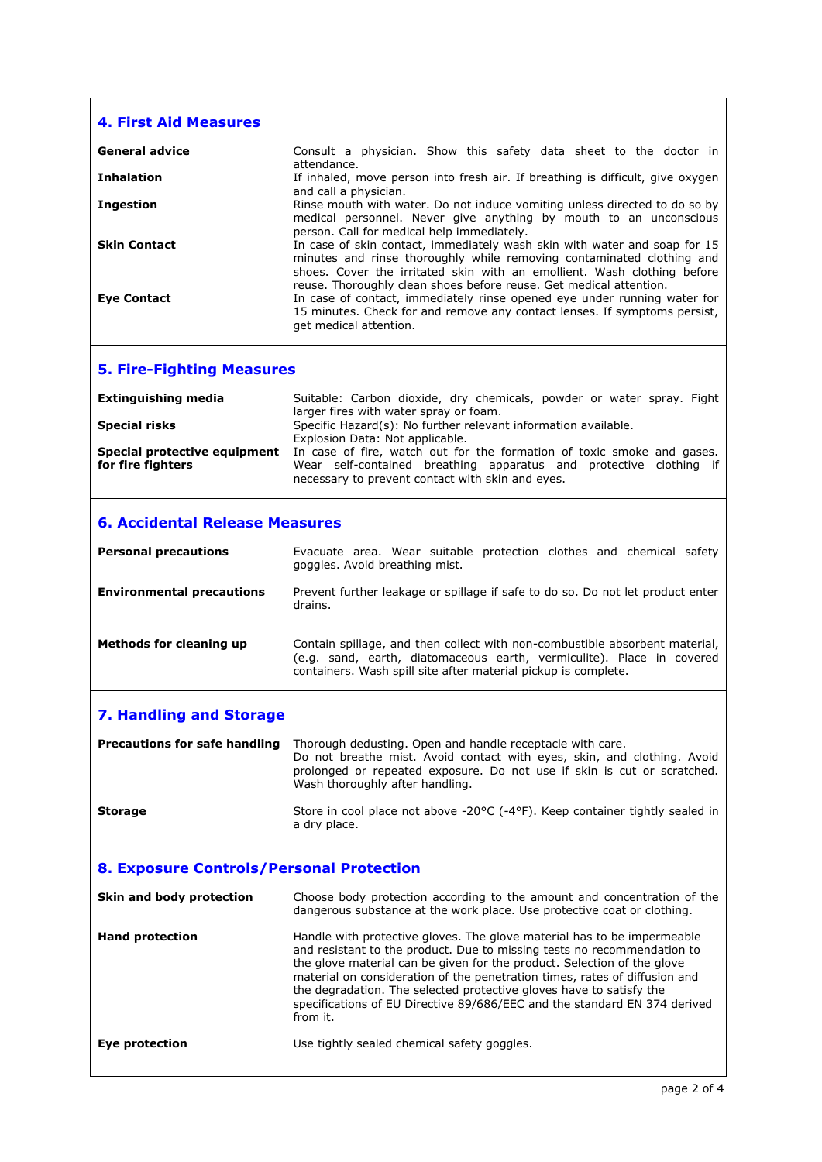| <b>4. First Aid Measures</b>                      |                                                                                                                                                                                                                                                                                                                                                                                                                                                                             |
|---------------------------------------------------|-----------------------------------------------------------------------------------------------------------------------------------------------------------------------------------------------------------------------------------------------------------------------------------------------------------------------------------------------------------------------------------------------------------------------------------------------------------------------------|
| <b>General advice</b>                             | Consult a physician. Show this safety data sheet to the doctor in                                                                                                                                                                                                                                                                                                                                                                                                           |
| <b>Inhalation</b>                                 | attendance.<br>If inhaled, move person into fresh air. If breathing is difficult, give oxygen<br>and call a physician.                                                                                                                                                                                                                                                                                                                                                      |
| <b>Ingestion</b>                                  | Rinse mouth with water. Do not induce vomiting unless directed to do so by                                                                                                                                                                                                                                                                                                                                                                                                  |
|                                                   | medical personnel. Never give anything by mouth to an unconscious<br>person. Call for medical help immediately.                                                                                                                                                                                                                                                                                                                                                             |
| <b>Skin Contact</b>                               | In case of skin contact, immediately wash skin with water and soap for 15<br>minutes and rinse thoroughly while removing contaminated clothing and                                                                                                                                                                                                                                                                                                                          |
| <b>Eye Contact</b>                                | shoes. Cover the irritated skin with an emollient. Wash clothing before<br>reuse. Thoroughly clean shoes before reuse. Get medical attention.<br>In case of contact, immediately rinse opened eye under running water for<br>15 minutes. Check for and remove any contact lenses. If symptoms persist,<br>get medical attention.                                                                                                                                            |
| <b>5. Fire-Fighting Measures</b>                  |                                                                                                                                                                                                                                                                                                                                                                                                                                                                             |
| <b>Extinguishing media</b>                        | Suitable: Carbon dioxide, dry chemicals, powder or water spray. Fight<br>larger fires with water spray or foam.                                                                                                                                                                                                                                                                                                                                                             |
| <b>Special risks</b>                              | Specific Hazard(s): No further relevant information available.<br>Explosion Data: Not applicable.                                                                                                                                                                                                                                                                                                                                                                           |
| Special protective equipment<br>for fire fighters | In case of fire, watch out for the formation of toxic smoke and gases.<br>Wear self-contained breathing apparatus and protective clothing if<br>necessary to prevent contact with skin and eyes.                                                                                                                                                                                                                                                                            |
| <b>6. Accidental Release Measures</b>             |                                                                                                                                                                                                                                                                                                                                                                                                                                                                             |
| <b>Personal precautions</b>                       | Evacuate area. Wear suitable protection clothes and chemical safety<br>goggles. Avoid breathing mist.                                                                                                                                                                                                                                                                                                                                                                       |
| <b>Environmental precautions</b>                  | Prevent further leakage or spillage if safe to do so. Do not let product enter<br>drains.                                                                                                                                                                                                                                                                                                                                                                                   |
| <b>Methods for cleaning up</b>                    | Contain spillage, and then collect with non-combustible absorbent material,<br>(e.g. sand, earth, diatomaceous earth, vermiculite). Place in covered<br>containers. Wash spill site after material pickup is complete.                                                                                                                                                                                                                                                      |
| <b>7. Handling and Storage</b>                    |                                                                                                                                                                                                                                                                                                                                                                                                                                                                             |
| <b>Precautions for safe handling</b>              | Thorough dedusting. Open and handle receptacle with care.<br>Do not breathe mist. Avoid contact with eyes, skin, and clothing. Avoid<br>prolonged or repeated exposure. Do not use if skin is cut or scratched.<br>Wash thoroughly after handling.                                                                                                                                                                                                                          |
| <b>Storage</b>                                    | Store in cool place not above -20 $\degree$ C (-4 $\degree$ F). Keep container tightly sealed in<br>a dry place.                                                                                                                                                                                                                                                                                                                                                            |
| 8. Exposure Controls/Personal Protection          |                                                                                                                                                                                                                                                                                                                                                                                                                                                                             |
| Skin and body protection                          | Choose body protection according to the amount and concentration of the<br>dangerous substance at the work place. Use protective coat or clothing.                                                                                                                                                                                                                                                                                                                          |
| <b>Hand protection</b>                            | Handle with protective gloves. The glove material has to be impermeable<br>and resistant to the product. Due to missing tests no recommendation to<br>the glove material can be given for the product. Selection of the glove<br>material on consideration of the penetration times, rates of diffusion and<br>the degradation. The selected protective gloves have to satisfy the<br>specifications of EU Directive 89/686/EEC and the standard EN 374 derived<br>from it. |
| <b>Eye protection</b>                             | Use tightly sealed chemical safety goggles.                                                                                                                                                                                                                                                                                                                                                                                                                                 |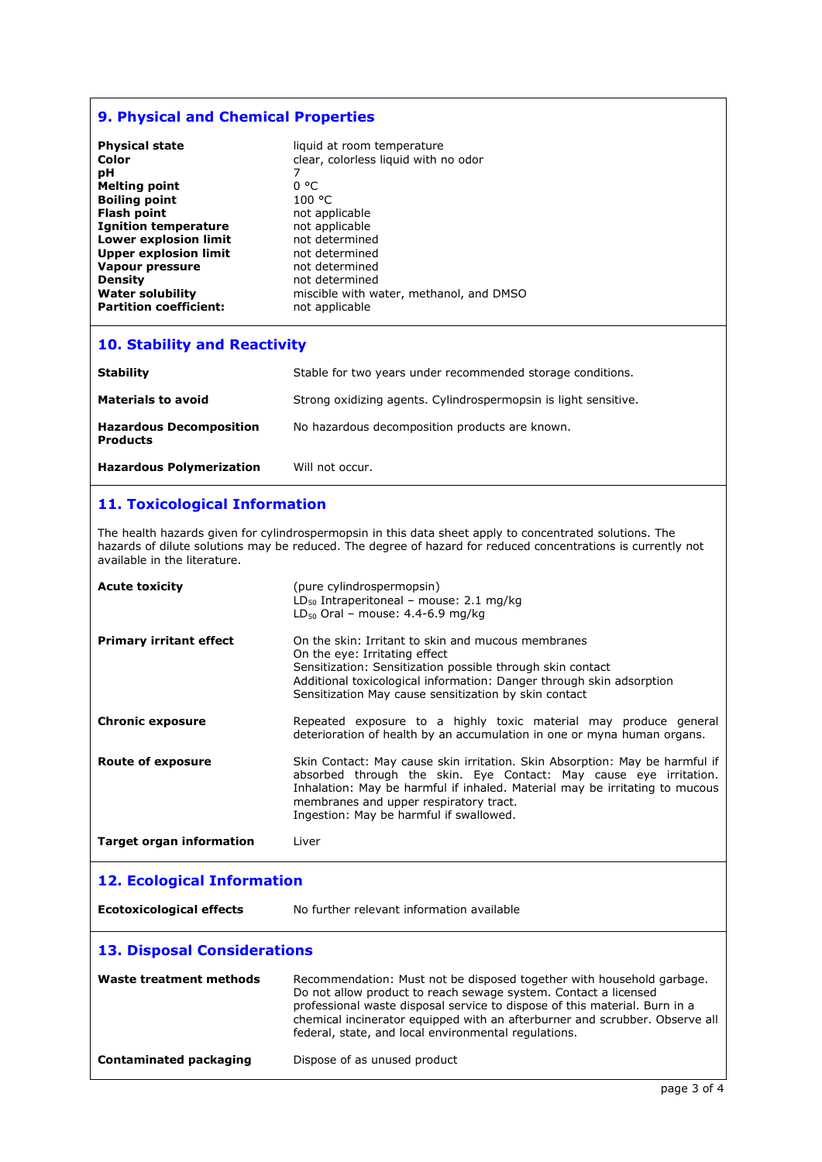# **9. Physical and Chemical Properties**

| <b>Physical state</b>         | liquid at room temperature              |
|-------------------------------|-----------------------------------------|
| Color                         | clear, colorless liquid with no odor    |
| рH                            |                                         |
| <b>Melting point</b>          | 0 °C                                    |
| <b>Boiling point</b>          | 100 °C                                  |
| <b>Flash point</b>            | not applicable                          |
| <b>Ignition temperature</b>   | not applicable                          |
| <b>Lower explosion limit</b>  | not determined                          |
| <b>Upper explosion limit</b>  | not determined                          |
| <b>Vapour pressure</b>        | not determined                          |
| <b>Density</b>                | not determined                          |
| <b>Water solubility</b>       | miscible with water, methanol, and DMSO |
| <b>Partition coefficient:</b> | not applicable                          |
|                               |                                         |

# **10. Stability and Reactivity**

| <b>Stability</b>                                  | Stable for two years under recommended storage conditions.      |
|---------------------------------------------------|-----------------------------------------------------------------|
| <b>Materials to avoid</b>                         | Strong oxidizing agents. Cylindrospermopsin is light sensitive. |
| <b>Hazardous Decomposition</b><br><b>Products</b> | No hazardous decomposition products are known.                  |
| <b>Hazardous Polymerization</b>                   | Will not occur.                                                 |

# **11. Toxicological Information**

The health hazards given for cylindrospermopsin in this data sheet apply to concentrated solutions. The hazards of dilute solutions may be reduced. The degree of hazard for reduced concentrations is currently not available in the literature.

| <b>Acute toxicity</b>              | (pure cylindrospermopsin)<br>$LD_{50}$ Intraperitoneal - mouse: 2.1 mg/kg<br>$LD_{50}$ Oral - mouse: 4.4-6.9 mg/kg                                                                                                                                                                                                                                            |
|------------------------------------|---------------------------------------------------------------------------------------------------------------------------------------------------------------------------------------------------------------------------------------------------------------------------------------------------------------------------------------------------------------|
| <b>Primary irritant effect</b>     | On the skin: Irritant to skin and mucous membranes<br>On the eye: Irritating effect<br>Sensitization: Sensitization possible through skin contact<br>Additional toxicological information: Danger through skin adsorption<br>Sensitization May cause sensitization by skin contact                                                                            |
| <b>Chronic exposure</b>            | Repeated exposure to a highly toxic material may produce general<br>deterioration of health by an accumulation in one or myna human organs.                                                                                                                                                                                                                   |
| <b>Route of exposure</b>           | Skin Contact: May cause skin irritation. Skin Absorption: May be harmful if<br>absorbed through the skin. Eye Contact: May cause eye irritation.<br>Inhalation: May be harmful if inhaled. Material may be irritating to mucous<br>membranes and upper respiratory tract.<br>Ingestion: May be harmful if swallowed.                                          |
| <b>Target organ information</b>    | Liver                                                                                                                                                                                                                                                                                                                                                         |
|                                    |                                                                                                                                                                                                                                                                                                                                                               |
| <b>12. Ecological Information</b>  |                                                                                                                                                                                                                                                                                                                                                               |
| <b>Ecotoxicological effects</b>    | No further relevant information available                                                                                                                                                                                                                                                                                                                     |
| <b>13. Disposal Considerations</b> |                                                                                                                                                                                                                                                                                                                                                               |
| Waste treatment methods            | Recommendation: Must not be disposed together with household garbage.<br>Do not allow product to reach sewage system. Contact a licensed<br>professional waste disposal service to dispose of this material. Burn in a<br>chemical incinerator equipped with an afterburner and scrubber. Observe all<br>federal, state, and local environmental regulations. |